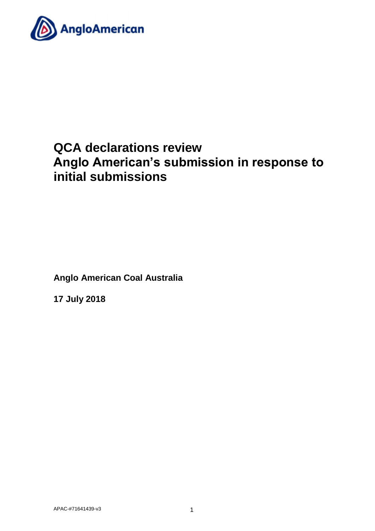

# **QCA declarations review Anglo American's submission in response to initial submissions**

**Anglo American Coal Australia** 

**17 July 2018**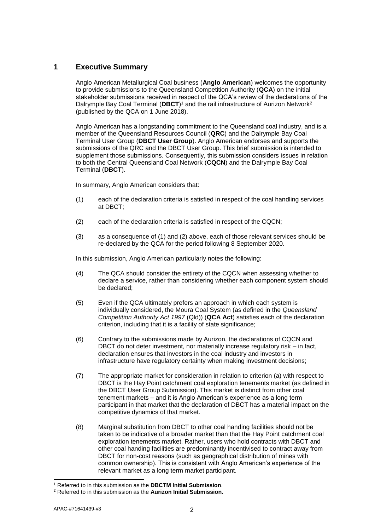# **1 Executive Summary**

Anglo American Metallurgical Coal business (**Anglo American**) welcomes the opportunity to provide submissions to the Queensland Competition Authority (**QCA**) on the initial stakeholder submissions received in respect of the QCA's review of the declarations of the Dalrymple Bay Coal Terminal (**DBCT**) <sup>1</sup> and the rail infrastructure of Aurizon Network<sup>2</sup> (published by the QCA on 1 June 2018).

Anglo American has a longstanding commitment to the Queensland coal industry, and is a member of the Queensland Resources Council (**QRC**) and the Dalrymple Bay Coal Terminal User Group (**DBCT User Group**). Anglo American endorses and supports the submissions of the QRC and the DBCT User Group. This brief submission is intended to supplement those submissions. Consequently, this submission considers issues in relation to both the Central Queensland Coal Network (**CQCN**) and the Dalrymple Bay Coal Terminal (**DBCT**).

In summary, Anglo American considers that:

- (1) each of the declaration criteria is satisfied in respect of the coal handling services at DBCT;
- (2) each of the declaration criteria is satisfied in respect of the CQCN;
- (3) as a consequence of (1) and (2) above, each of those relevant services should be re-declared by the QCA for the period following 8 September 2020.

In this submission, Anglo American particularly notes the following:

- (4) The QCA should consider the entirety of the CQCN when assessing whether to declare a service, rather than considering whether each component system should be declared;
- (5) Even if the QCA ultimately prefers an approach in which each system is individually considered, the Moura Coal System (as defined in the *Queensland Competition Authority Act 1997* (Qld)) (**QCA Act**) satisfies each of the declaration criterion, including that it is a facility of state significance;
- (6) Contrary to the submissions made by Aurizon, the declarations of CQCN and DBCT do not deter investment, nor materially increase regulatory risk – in fact, declaration ensures that investors in the coal industry and investors in infrastructure have regulatory certainty when making investment decisions;
- (7) The appropriate market for consideration in relation to criterion (a) with respect to DBCT is the Hay Point catchment coal exploration tenements market (as defined in the DBCT User Group Submission). This market is distinct from other coal tenement markets – and it is Anglo American's experience as a long term participant in that market that the declaration of DBCT has a material impact on the competitive dynamics of that market.
- (8) Marginal substitution from DBCT to other coal handing facilities should not be taken to be indicative of a broader market than that the Hay Point catchment coal exploration tenements market. Rather, users who hold contracts with DBCT and other coal handing facilities are predominantly incentivised to contract away from DBCT for non-cost reasons (such as geographical distribution of mines with common ownership). This is consistent with Anglo American's experience of the relevant market as a long term market participant.

<sup>-</sup><sup>1</sup> Referred to in this submission as the **DBCTM Initial Submission**.

<sup>2</sup> Referred to in this submission as the **Aurizon Initial Submission.**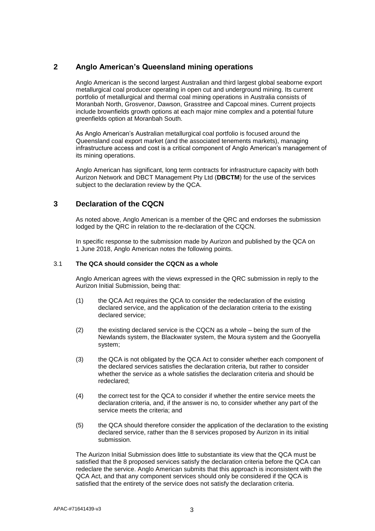# **2 Anglo American's Queensland mining operations**

Anglo American is the second largest Australian and third largest global seaborne export metallurgical coal producer operating in open cut and underground mining. Its current portfolio of metallurgical and thermal coal mining operations in Australia consists of Moranbah North, Grosvenor, Dawson, Grasstree and Capcoal mines. Current projects include brownfields growth options at each major mine complex and a potential future greenfields option at Moranbah South.

As Anglo American's Australian metallurgical coal portfolio is focused around the Queensland coal export market (and the associated tenements markets), managing infrastructure access and cost is a critical component of Anglo American's management of its mining operations.

Anglo American has significant, long term contracts for infrastructure capacity with both Aurizon Network and DBCT Management Pty Ltd (**DBCTM**) for the use of the services subject to the declaration review by the QCA.

# **3 Declaration of the CQCN**

As noted above, Anglo American is a member of the QRC and endorses the submission lodged by the QRC in relation to the re-declaration of the CQCN.

In specific response to the submission made by Aurizon and published by the QCA on 1 June 2018, Anglo American notes the following points.

#### 3.1 **The QCA should consider the CQCN as a whole**

Anglo American agrees with the views expressed in the QRC submission in reply to the Aurizon Initial Submission, being that:

- (1) the QCA Act requires the QCA to consider the redeclaration of the existing declared service, and the application of the declaration criteria to the existing declared service;
- (2) the existing declared service is the CQCN as a whole being the sum of the Newlands system, the Blackwater system, the Moura system and the Goonyella system;
- (3) the QCA is not obligated by the QCA Act to consider whether each component of the declared services satisfies the declaration criteria, but rather to consider whether the service as a whole satisfies the declaration criteria and should be redeclared;
- (4) the correct test for the QCA to consider if whether the entire service meets the declaration criteria, and, if the answer is no, to consider whether any part of the service meets the criteria; and
- (5) the QCA should therefore consider the application of the declaration to the existing declared service, rather than the 8 services proposed by Aurizon in its initial submission.

The Aurizon Initial Submission does little to substantiate its view that the QCA must be satisfied that the 8 proposed services satisfy the declaration criteria before the QCA can redeclare the service. Anglo American submits that this approach is inconsistent with the QCA Act, and that any component services should only be considered if the QCA is satisfied that the entirety of the service does not satisfy the declaration criteria.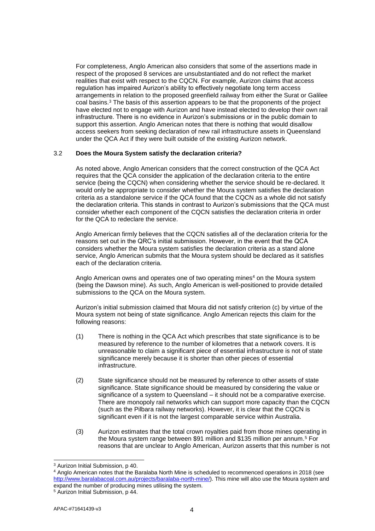For completeness, Anglo American also considers that some of the assertions made in respect of the proposed 8 services are unsubstantiated and do not reflect the market realities that exist with respect to the CQCN. For example, Aurizon claims that access regulation has impaired Aurizon's ability to effectively negotiate long term access arrangements in relation to the proposed greenfield railway from either the Surat or Galilee coal basins.<sup>3</sup> The basis of this assertion appears to be that the proponents of the project have elected not to engage with Aurizon and have instead elected to develop their own rail infrastructure. There is no evidence in Aurizon's submissions or in the public domain to support this assertion. Anglo American notes that there is nothing that would disallow access seekers from seeking declaration of new rail infrastructure assets in Queensland under the QCA Act if they were built outside of the existing Aurizon network.

#### 3.2 **Does the Moura System satisfy the declaration criteria?**

As noted above, Anglo American considers that the correct construction of the QCA Act requires that the QCA consider the application of the declaration criteria to the entire service (being the CQCN) when considering whether the service should be re-declared. It would only be appropriate to consider whether the Moura system satisfies the declaration criteria as a standalone service if the QCA found that the CQCN as a whole did not satisfy the declaration criteria. This stands in contrast to Aurizon's submissions that the QCA must consider whether each component of the CQCN satisfies the declaration criteria in order for the QCA to redeclare the service.

Anglo American firmly believes that the CQCN satisfies all of the declaration criteria for the reasons set out in the QRC's initial submission. However, in the event that the QCA considers whether the Moura system satisfies the declaration criteria as a stand alone service, Anglo American submits that the Moura system should be declared as it satisfies each of the declaration criteria.

Anglo American owns and operates one of two operating mines<sup>4</sup> on the Moura system (being the Dawson mine). As such, Anglo American is well-positioned to provide detailed submissions to the QCA on the Moura system.

Aurizon's initial submission claimed that Moura did not satisfy criterion (c) by virtue of the Moura system not being of state significance. Anglo American rejects this claim for the following reasons:

- (1) There is nothing in the QCA Act which prescribes that state significance is to be measured by reference to the number of kilometres that a network covers. It is unreasonable to claim a significant piece of essential infrastructure is not of state significance merely because it is shorter than other pieces of essential infrastructure.
- (2) State significance should not be measured by reference to other assets of state significance. State significance should be measured by considering the value or significance of a system to Queensland – it should not be a comparative exercise. There are monopoly rail networks which can support more capacity than the CQCN (such as the Pilbara railway networks). However, it is clear that the CQCN is significant even if it is not the largest comparable service within Australia.
- (3) Aurizon estimates that the total crown royalties paid from those mines operating in the Moura system range between \$91 million and \$135 million per annum.<sup>5</sup> For reasons that are unclear to Anglo American, Aurizon asserts that this number is not

<sup>-</sup><sup>3</sup> Aurizon Initial Submission, p 40.

<sup>4</sup> Anglo American notes that the Baralaba North Mine is scheduled to recommenced operations in 2018 (see [http://www.baralabacoal.com.au/projects/baralaba-north-mine/\)](http://www.baralabacoal.com.au/projects/baralaba-north-mine/). This mine will also use the Moura system and expand the number of producing mines utilising the system.

<sup>5</sup> Aurizon Initial Submission, p 44.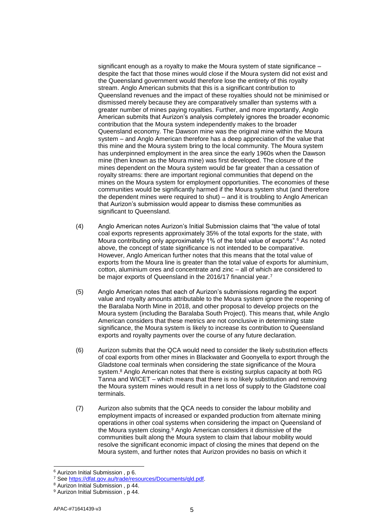significant enough as a royalty to make the Moura system of state significance – despite the fact that those mines would close if the Moura system did not exist and the Queensland government would therefore lose the entirety of this royalty stream. Anglo American submits that this is a significant contribution to Queensland revenues and the impact of these royalties should not be minimised or dismissed merely because they are comparatively smaller than systems with a greater number of mines paying royalties. Further, and more importantly, Anglo American submits that Aurizon's analysis completely ignores the broader economic contribution that the Moura system independently makes to the broader Queensland economy. The Dawson mine was the original mine within the Moura system – and Anglo American therefore has a deep appreciation of the value that this mine and the Moura system bring to the local community. The Moura system has underpinned employment in the area since the early 1960s when the Dawson mine (then known as the Moura mine) was first developed. The closure of the mines dependent on the Moura system would be far greater than a cessation of royalty streams: there are important regional communities that depend on the mines on the Moura system for employment opportunities. The economies of these communities would be significantly harmed if the Moura system shut (and therefore the dependent mines were required to shut) – and it is troubling to Anglo American that Aurizon's submission would appear to dismiss these communities as significant to Queensland.

- (4) Anglo American notes Aurizon's Initial Submission claims that "the value of total coal exports represents approximately 35% of the total exports for the state, with Moura contributing only approximately 1% of the total value of exports".<sup>6</sup> As noted above, the concept of state significance is not intended to be comparative. However, Anglo American further notes that this means that the total value of exports from the Moura line is greater than the total value of exports for aluminium, cotton, aluminium ores and concentrate and zinc – all of which are considered to be major exports of Queensland in the 2016/17 financial year.<sup>7</sup>
- (5) Anglo American notes that each of Aurizon's submissions regarding the export value and royalty amounts attributable to the Moura system ignore the reopening of the Baralaba North Mine in 2018, and other proposal to develop projects on the Moura system (including the Baralaba South Project). This means that, while Anglo American considers that these metrics are not conclusive in determining state significance, the Moura system is likely to increase its contribution to Queensland exports and royalty payments over the course of any future declaration.
- (6) Aurizon submits that the QCA would need to consider the likely substitution effects of coal exports from other mines in Blackwater and Goonyella to export through the Gladstone coal terminals when considering the state significance of the Moura system.<sup>8</sup> Anglo American notes that there is existing surplus capacity at both RG Tanna and WICET – which means that there is no likely substitution and removing the Moura system mines would result in a net loss of supply to the Gladstone coal terminals.
- (7) Aurizon also submits that the QCA needs to consider the labour mobility and employment impacts of increased or expanded production from alternate mining operations in other coal systems when considering the impact on Queensland of the Moura system closing.<sup>9</sup> Anglo American considers it dismissive of the communities built along the Moura system to claim that labour mobility would resolve the significant economic impact of closing the mines that depend on the Moura system, and further notes that Aurizon provides no basis on which it

-

<sup>6</sup> Aurizon Initial Submission , p 6.

<sup>7</sup> Se[e https://dfat.gov.au/trade/resources/Documents/qld.pdf.](https://dfat.gov.au/trade/resources/Documents/qld.pdf)

<sup>8</sup> Aurizon Initial Submission , p 44.

<sup>&</sup>lt;sup>9</sup> Aurizon Initial Submission, p 44.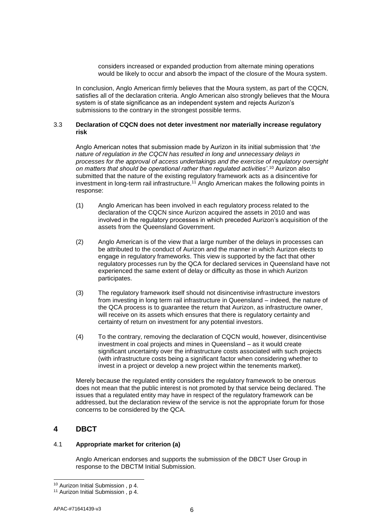considers increased or expanded production from alternate mining operations would be likely to occur and absorb the impact of the closure of the Moura system.

In conclusion, Anglo American firmly believes that the Moura system, as part of the CQCN, satisfies all of the declaration criteria. Anglo American also strongly believes that the Moura system is of state significance as an independent system and rejects Aurizon's submissions to the contrary in the strongest possible terms.

#### 3.3 **Declaration of CQCN does not deter investment nor materially increase regulatory risk**

Anglo American notes that submission made by Aurizon in its initial submission that '*the nature of regulation in the CQCN has resulted in long and unnecessary delays in processes for the approval of access undertakings and the exercise of regulatory oversight on matters that should be operational rather than regulated activities'*. <sup>10</sup> Aurizon also submitted that the nature of the existing regulatory framework acts as a disincentive for investment in long-term rail infrastructure.<sup>11</sup> Anglo American makes the following points in response:

- (1) Anglo American has been involved in each regulatory process related to the declaration of the CQCN since Aurizon acquired the assets in 2010 and was involved in the regulatory processes in which preceded Aurizon's acquisition of the assets from the Queensland Government.
- (2) Anglo American is of the view that a large number of the delays in processes can be attributed to the conduct of Aurizon and the manner in which Aurizon elects to engage in regulatory frameworks. This view is supported by the fact that other regulatory processes run by the QCA for declared services in Queensland have not experienced the same extent of delay or difficulty as those in which Aurizon participates.
- (3) The regulatory framework itself should not disincentivise infrastructure investors from investing in long term rail infrastructure in Queensland – indeed, the nature of the QCA process is to guarantee the return that Aurizon, as infrastructure owner, will receive on its assets which ensures that there is regulatory certainty and certainty of return on investment for any potential investors.
- (4) To the contrary, removing the declaration of CQCN would, however, disincentivise investment in coal projects and mines in Queensland – as it would create significant uncertainty over the infrastructure costs associated with such projects (with infrastructure costs being a significant factor when considering whether to invest in a project or develop a new project within the tenements market).

Merely because the regulated entity considers the regulatory framework to be onerous does not mean that the public interest is not promoted by that service being declared. The issues that a regulated entity may have in respect of the regulatory framework can be addressed, but the declaration review of the service is not the appropriate forum for those concerns to be considered by the QCA.

## **4 DBCT**

### 4.1 **Appropriate market for criterion (a)**

Anglo American endorses and supports the submission of the DBCT User Group in response to the DBCTM Initial Submission.

<sup>-</sup><sup>10</sup> Aurizon Initial Submission , p 4.

<sup>&</sup>lt;sup>11</sup> Aurizon Initial Submission, p 4.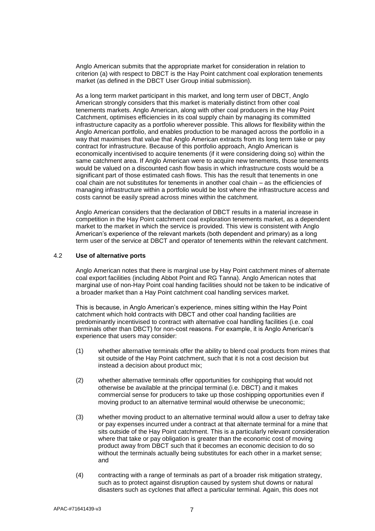Anglo American submits that the appropriate market for consideration in relation to criterion (a) with respect to DBCT is the Hay Point catchment coal exploration tenements market (as defined in the DBCT User Group initial submission).

As a long term market participant in this market, and long term user of DBCT, Anglo American strongly considers that this market is materially distinct from other coal tenements markets. Anglo American, along with other coal producers in the Hay Point Catchment, optimises efficiencies in its coal supply chain by managing its committed infrastructure capacity as a portfolio wherever possible. This allows for flexibility within the Anglo American portfolio, and enables production to be managed across the portfolio in a way that maximises that value that Anglo American extracts from its long term take or pay contract for infrastructure. Because of this portfolio approach, Anglo American is economically incentivised to acquire tenements (if it were considering doing so) within the same catchment area. If Anglo American were to acquire new tenements, those tenements would be valued on a discounted cash flow basis in which infrastructure costs would be a significant part of those estimated cash flows. This has the result that tenements in one coal chain are not substitutes for tenements in another coal chain – as the efficiencies of managing infrastructure within a portfolio would be lost where the infrastructure access and costs cannot be easily spread across mines within the catchment.

Anglo American considers that the declaration of DBCT results in a material increase in competition in the Hay Point catchment coal exploration tenements market, as a dependent market to the market in which the service is provided. This view is consistent with Anglo American's experience of the relevant markets (both dependent and primary) as a long term user of the service at DBCT and operator of tenements within the relevant catchment.

#### 4.2 **Use of alternative ports**

Anglo American notes that there is marginal use by Hay Point catchment mines of alternate coal export facilities (including Abbot Point and RG Tanna). Anglo American notes that marginal use of non-Hay Point coal handing facilities should not be taken to be indicative of a broader market than a Hay Point catchment coal handling services market.

This is because, in Anglo American's experience, mines sitting within the Hay Point catchment which hold contracts with DBCT and other coal handing facilities are predominantly incentivised to contract with alternative coal handling facilities (i.e. coal terminals other than DBCT) for non-cost reasons. For example, it is Anglo American's experience that users may consider:

- (1) whether alternative terminals offer the ability to blend coal products from mines that sit outside of the Hay Point catchment, such that it is not a cost decision but instead a decision about product mix;
- (2) whether alternative terminals offer opportunities for coshipping that would not otherwise be available at the principal terminal (i.e. DBCT) and it makes commercial sense for producers to take up those coshipping opportunities even if moving product to an alternative terminal would otherwise be uneconomic;
- (3) whether moving product to an alternative terminal would allow a user to defray take or pay expenses incurred under a contract at that alternate terminal for a mine that sits outside of the Hay Point catchment. This is a particularly relevant consideration where that take or pay obligation is greater than the economic cost of moving product away from DBCT such that it becomes an economic decision to do so without the terminals actually being substitutes for each other in a market sense; and
- (4) contracting with a range of terminals as part of a broader risk mitigation strategy, such as to protect against disruption caused by system shut downs or natural disasters such as cyclones that affect a particular terminal. Again, this does not